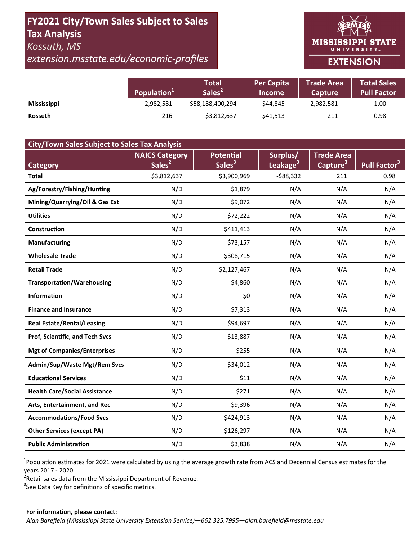## **FY2021 City/Town Sales Subject to Sales Tax Analysis**  *Kossuth, MS*

*extension.msstate.edu/economic‐profiles* 

# **MISSISSIPPI STATE** UNIVERSITY<sub>w</sub> **EXTENSION**

|                    | Population <sup>1</sup> | <b>Total</b><br>Sales <sup>2</sup> | <b>Per Capita</b><br><b>Income</b> | <b>Trade Area</b><br>Capture | <b>Total Sales</b><br><b>Pull Factor</b> |
|--------------------|-------------------------|------------------------------------|------------------------------------|------------------------------|------------------------------------------|
| <b>Mississippi</b> | 2,982,581               | \$58,188,400,294                   | \$44,845                           | 2,982,581                    | 1.00                                     |
| Kossuth            | 216                     | \$3,812,637                        | \$41,513                           | 211                          | 0.98                                     |

| <b>City/Town Sales Subject to Sales Tax Analysis</b> |                       |                  |                      |                      |                          |  |  |  |
|------------------------------------------------------|-----------------------|------------------|----------------------|----------------------|--------------------------|--|--|--|
|                                                      | <b>NAICS Category</b> | <b>Potential</b> | Surplus/             | <b>Trade Area</b>    |                          |  |  |  |
| Category                                             | Sales <sup>2</sup>    | Sales $3$        | Leakage <sup>3</sup> | Capture <sup>3</sup> | Pull Factor <sup>3</sup> |  |  |  |
| <b>Total</b>                                         | \$3,812,637           | \$3,900,969      | $-588,332$           | 211                  | 0.98                     |  |  |  |
| Ag/Forestry/Fishing/Hunting                          | N/D                   | \$1,879          | N/A                  | N/A                  | N/A                      |  |  |  |
| Mining/Quarrying/Oil & Gas Ext                       | N/D                   | \$9,072          | N/A                  | N/A                  | N/A                      |  |  |  |
| <b>Utilities</b>                                     | N/D                   | \$72,222         | N/A                  | N/A                  | N/A                      |  |  |  |
| Construction                                         | N/D                   | \$411,413        | N/A                  | N/A                  | N/A                      |  |  |  |
| <b>Manufacturing</b>                                 | N/D                   | \$73,157         | N/A                  | N/A                  | N/A                      |  |  |  |
| <b>Wholesale Trade</b>                               | N/D                   | \$308,715        | N/A                  | N/A                  | N/A                      |  |  |  |
| <b>Retail Trade</b>                                  | N/D                   | \$2,127,467      | N/A                  | N/A                  | N/A                      |  |  |  |
| <b>Transportation/Warehousing</b>                    | N/D                   | \$4,860          | N/A                  | N/A                  | N/A                      |  |  |  |
| <b>Information</b>                                   | N/D                   | \$0              | N/A                  | N/A                  | N/A                      |  |  |  |
| <b>Finance and Insurance</b>                         | N/D                   | \$7,313          | N/A                  | N/A                  | N/A                      |  |  |  |
| <b>Real Estate/Rental/Leasing</b>                    | N/D                   | \$94,697         | N/A                  | N/A                  | N/A                      |  |  |  |
| Prof, Scientific, and Tech Svcs                      | N/D                   | \$13,887         | N/A                  | N/A                  | N/A                      |  |  |  |
| <b>Mgt of Companies/Enterprises</b>                  | N/D                   | \$255            | N/A                  | N/A                  | N/A                      |  |  |  |
| Admin/Sup/Waste Mgt/Rem Svcs                         | N/D                   | \$34,012         | N/A                  | N/A                  | N/A                      |  |  |  |
| <b>Educational Services</b>                          | N/D                   | \$11             | N/A                  | N/A                  | N/A                      |  |  |  |
| <b>Health Care/Social Assistance</b>                 | N/D                   | \$271            | N/A                  | N/A                  | N/A                      |  |  |  |
| Arts, Entertainment, and Rec                         | N/D                   | \$9,396          | N/A                  | N/A                  | N/A                      |  |  |  |
| <b>Accommodations/Food Svcs</b>                      | N/D                   | \$424,913        | N/A                  | N/A                  | N/A                      |  |  |  |
| <b>Other Services (except PA)</b>                    | N/D                   | \$126,297        | N/A                  | N/A                  | N/A                      |  |  |  |
| <b>Public Administration</b>                         | N/D                   | \$3,838          | N/A                  | N/A                  | N/A                      |  |  |  |

<sup>1</sup>Population estimates for 2021 were calculated by using the average growth rate from ACS and Decennial Census estimates for the years 2017 ‐ 2020.

2 Retail sales data from the Mississippi Department of Revenue*.* 

 $3$ See Data Key for definitions of specific metrics.

#### **For informaƟon, please contact:**  *Alan Barefield (Mississippi State University Extension Service)—662.325.7995—alan.barefield@msstate.edu*